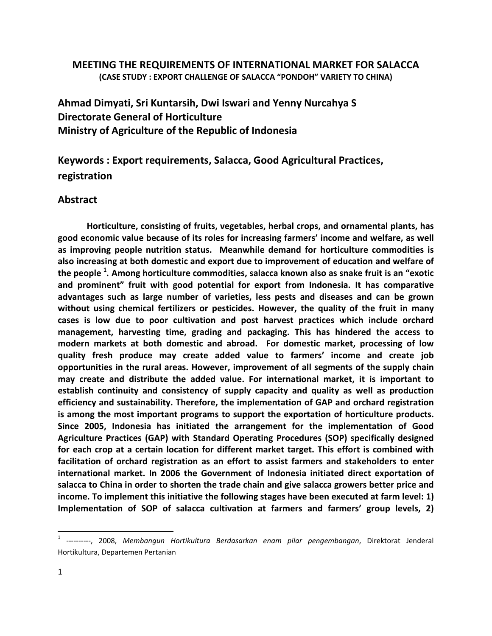## MEETING THE REQUIREMENTS OF INTERNATIONAL MARKET FOR SALACCA (CASE STUDY : EXPORT CHALLENGE OF SALACCA "PONDOH" VARIETY TO CHINA)

Ahmad Dimyati, Sri Kuntarsih, Dwi Iswari and Yenny Nurcahya S Directorate General of Horticulture Ministry of Agriculture of the Republic of Indonesia

Keywords : Export requirements, Salacca, Good Agricultural Practices, registration

## Abstract

Horticulture, consisting of fruits, vegetables, herbal crops, and ornamental plants, has good economic value because of its roles for increasing farmers' income and welfare, as well as improving people nutrition status. Meanwhile demand for horticulture commodities is also increasing at both domestic and export due to improvement of education and welfare of the people <sup>1</sup>. Among horticulture commodities, salacca known also as snake fruit is an "exotic and prominent" fruit with good potential for export from Indonesia. It has comparative advantages such as large number of varieties, less pests and diseases and can be grown without using chemical fertilizers or pesticides. However, the quality of the fruit in many cases is low due to poor cultivation and post harvest practices which include orchard management, harvesting time, grading and packaging. This has hindered the access to modern markets at both domestic and abroad. For domestic market, processing of low quality fresh produce may create added value to farmers' income and create job opportunities in the rural areas. However, improvement of all segments of the supply chain may create and distribute the added value. For international market, it is important to establish continuity and consistency of supply capacity and quality as well as production efficiency and sustainability. Therefore, the implementation of GAP and orchard registration is among the most important programs to support the exportation of horticulture products. Since 2005, Indonesia has initiated the arrangement for the implementation of Good Agriculture Practices (GAP) with Standard Operating Procedures (SOP) specifically designed for each crop at a certain location for different market target. This effort is combined with facilitation of orchard registration as an effort to assist farmers and stakeholders to enter international market. In 2006 the Government of Indonesia initiated direct exportation of salacca to China in order to shorten the trade chain and give salacca growers better price and income. To implement this initiative the following stages have been executed at farm level: 1) Implementation of SOP of salacca cultivation at farmers and farmers' group levels, 2)

<sup>&</sup>lt;sup>1</sup> ----------, 2008, Membangun Hortikultura Berdasarkan enam pilar pengembangan, Direktorat Jenderal Hortikultura, Departemen Pertanian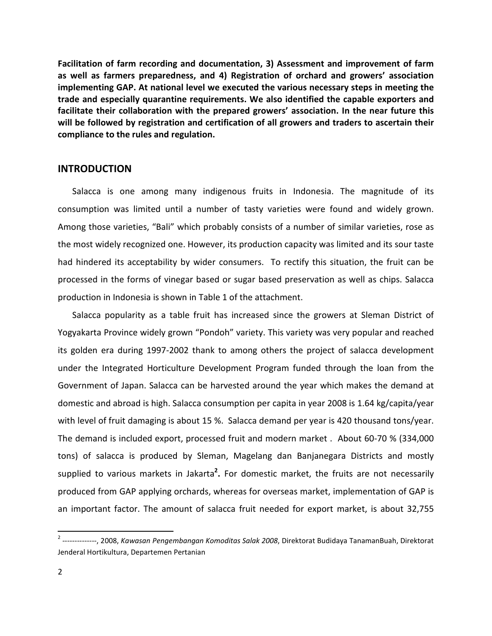Facilitation of farm recording and documentation, 3) Assessment and improvement of farm as well as farmers preparedness, and 4) Registration of orchard and growers' association implementing GAP. At national level we executed the various necessary steps in meeting the trade and especially quarantine requirements. We also identified the capable exporters and facilitate their collaboration with the prepared growers' association. In the near future this will be followed by registration and certification of all growers and traders to ascertain their compliance to the rules and regulation.

#### **INTRODUCTION**

Salacca is one among many indigenous fruits in Indonesia. The magnitude of its consumption was limited until a number of tasty varieties were found and widely grown. Among those varieties, "Bali" which probably consists of a number of similar varieties, rose as the most widely recognized one. However, its production capacity was limited and its sour taste had hindered its acceptability by wider consumers. To rectify this situation, the fruit can be processed in the forms of vinegar based or sugar based preservation as well as chips. Salacca production in Indonesia is shown in Table 1 of the attachment.

Salacca popularity as a table fruit has increased since the growers at Sleman District of Yogyakarta Province widely grown "Pondoh" variety. This variety was very popular and reached its golden era during 1997-2002 thank to among others the project of salacca development under the Integrated Horticulture Development Program funded through the loan from the Government of Japan. Salacca can be harvested around the year which makes the demand at domestic and abroad is high. Salacca consumption per capita in year 2008 is 1.64 kg/capita/year with level of fruit damaging is about 15 %. Salacca demand per year is 420 thousand tons/year. The demand is included export, processed fruit and modern market . About 60-70 % (334,000 tons) of salacca is produced by Sleman, Magelang dan Banjanegara Districts and mostly supplied to various markets in Jakarta<sup>2</sup>. For domestic market, the fruits are not necessarily produced from GAP applying orchards, whereas for overseas market, implementation of GAP is an important factor. The amount of salacca fruit needed for export market, is about 32,755

<sup>&</sup>lt;sup>2</sup> --------------, 2008, Kawasan Pengembangan Komoditas Salak 2008, Direktorat Budidaya TanamanBuah, Direktorat Jenderal Hortikultura, Departemen Pertanian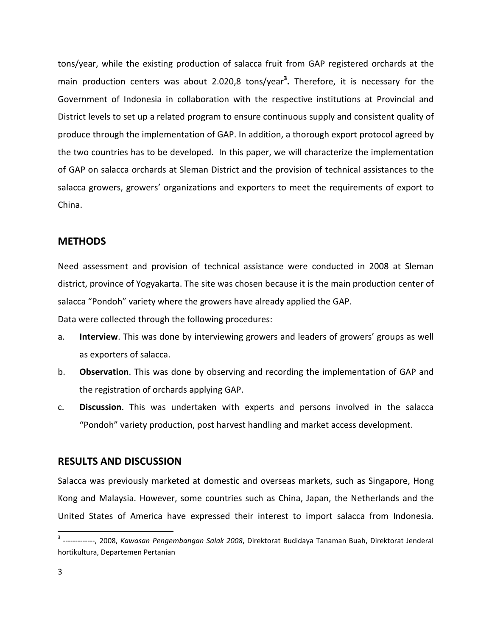tons/year, while the existing production of salacca fruit from GAP registered orchards at the main production centers was about 2.020,8 tons/year<sup>3</sup>. Therefore, it is necessary for the Government of Indonesia in collaboration with the respective institutions at Provincial and District levels to set up a related program to ensure continuous supply and consistent quality of produce through the implementation of GAP. In addition, a thorough export protocol agreed by the two countries has to be developed. In this paper, we will characterize the implementation of GAP on salacca orchards at Sleman District and the provision of technical assistances to the salacca growers, growers' organizations and exporters to meet the requirements of export to China.

#### **METHODS**

Need assessment and provision of technical assistance were conducted in 2008 at Sleman district, province of Yogyakarta. The site was chosen because it is the main production center of salacca "Pondoh" variety where the growers have already applied the GAP.

Data were collected through the following procedures:

- a. Interview. This was done by interviewing growers and leaders of growers' groups as well as exporters of salacca.
- b. Observation. This was done by observing and recording the implementation of GAP and the registration of orchards applying GAP.
- c. Discussion. This was undertaken with experts and persons involved in the salacca "Pondoh" variety production, post harvest handling and market access development.

#### RESULTS AND DISCUSSION

Salacca was previously marketed at domestic and overseas markets, such as Singapore, Hong Kong and Malaysia. However, some countries such as China, Japan, the Netherlands and the United States of America have expressed their interest to import salacca from Indonesia.

<sup>&</sup>lt;sup>3</sup> -------------, 2008, Kawasan Pengembangan Salak 2008, Direktorat Budidaya Tanaman Buah, Direktorat Jenderal hortikultura, Departemen Pertanian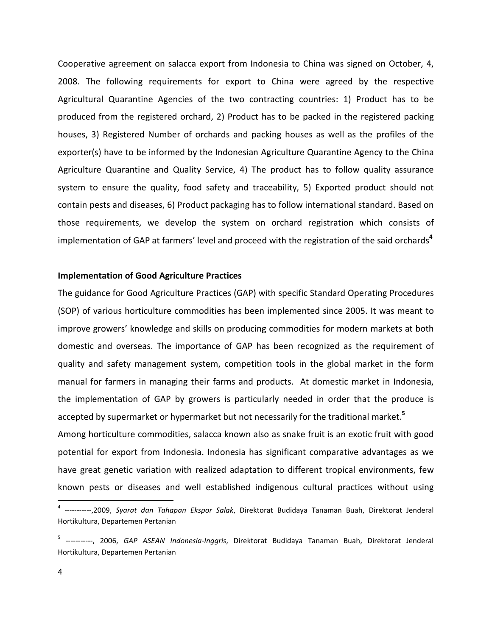Cooperative agreement on salacca export from Indonesia to China was signed on October, 4, 2008. The following requirements for export to China were agreed by the respective Agricultural Quarantine Agencies of the two contracting countries: 1) Product has to be produced from the registered orchard, 2) Product has to be packed in the registered packing houses, 3) Registered Number of orchards and packing houses as well as the profiles of the exporter(s) have to be informed by the Indonesian Agriculture Quarantine Agency to the China Agriculture Quarantine and Quality Service, 4) The product has to follow quality assurance system to ensure the quality, food safety and traceability, 5) Exported product should not contain pests and diseases, 6) Product packaging has to follow international standard. Based on those requirements, we develop the system on orchard registration which consists of implementation of GAP at farmers' level and proceed with the registration of the said orchards<sup>4</sup>

#### Implementation of Good Agriculture Practices

The guidance for Good Agriculture Practices (GAP) with specific Standard Operating Procedures (SOP) of various horticulture commodities has been implemented since 2005. It was meant to improve growers' knowledge and skills on producing commodities for modern markets at both domestic and overseas. The importance of GAP has been recognized as the requirement of quality and safety management system, competition tools in the global market in the form manual for farmers in managing their farms and products. At domestic market in Indonesia, the implementation of GAP by growers is particularly needed in order that the produce is accepted by supermarket or hypermarket but not necessarily for the traditional market.<sup>5</sup>

Among horticulture commodities, salacca known also as snake fruit is an exotic fruit with good potential for export from Indonesia. Indonesia has significant comparative advantages as we have great genetic variation with realized adaptation to different tropical environments, few known pests or diseases and well established indigenous cultural practices without using

<sup>&</sup>lt;sup>4</sup> -----------,2009, Syarat dan Tahapan Ekspor Salak, Direktorat Budidaya Tanaman Buah, Direktorat Jenderal Hortikultura, Departemen Pertanian

<sup>&</sup>lt;sup>5</sup> -----------, 2006, GAP ASEAN Indonesia-Inggris, Direktorat Budidaya Tanaman Buah, Direktorat Jenderal Hortikultura, Departemen Pertanian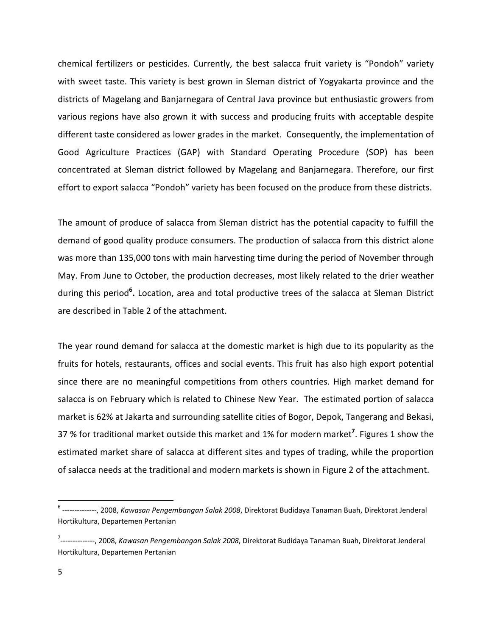chemical fertilizers or pesticides. Currently, the best salacca fruit variety is "Pondoh" variety with sweet taste. This variety is best grown in Sleman district of Yogyakarta province and the districts of Magelang and Banjarnegara of Central Java province but enthusiastic growers from various regions have also grown it with success and producing fruits with acceptable despite different taste considered as lower grades in the market. Consequently, the implementation of Good Agriculture Practices (GAP) with Standard Operating Procedure (SOP) has been concentrated at Sleman district followed by Magelang and Banjarnegara. Therefore, our first effort to export salacca "Pondoh" variety has been focused on the produce from these districts.

The amount of produce of salacca from Sleman district has the potential capacity to fulfill the demand of good quality produce consumers. The production of salacca from this district alone was more than 135,000 tons with main harvesting time during the period of November through May. From June to October, the production decreases, most likely related to the drier weather during this period<sup>6</sup>. Location, area and total productive trees of the salacca at Sleman District are described in Table 2 of the attachment.

The year round demand for salacca at the domestic market is high due to its popularity as the fruits for hotels, restaurants, offices and social events. This fruit has also high export potential since there are no meaningful competitions from others countries. High market demand for salacca is on February which is related to Chinese New Year. The estimated portion of salacca market is 62% at Jakarta and surrounding satellite cities of Bogor, Depok, Tangerang and Bekasi, 37 % for traditional market outside this market and 1% for modern market<sup>7</sup>. Figures 1 show the estimated market share of salacca at different sites and types of trading, while the proportion of salacca needs at the traditional and modern markets is shown in Figure 2 of the attachment.

<sup>&</sup>lt;sup>6</sup> --------------, 2008, *Kawasan Pengembangan Salak 2008*, Direktorat Budidaya Tanaman Buah, Direktorat Jenderal Hortikultura, Departemen Pertanian

<sup>&</sup>lt;sup>7</sup>--------------, 2008, *Kawasan Pengembangan Salak 2008*, Direktorat Budidaya Tanaman Buah, Direktorat Jenderal Hortikultura, Departemen Pertanian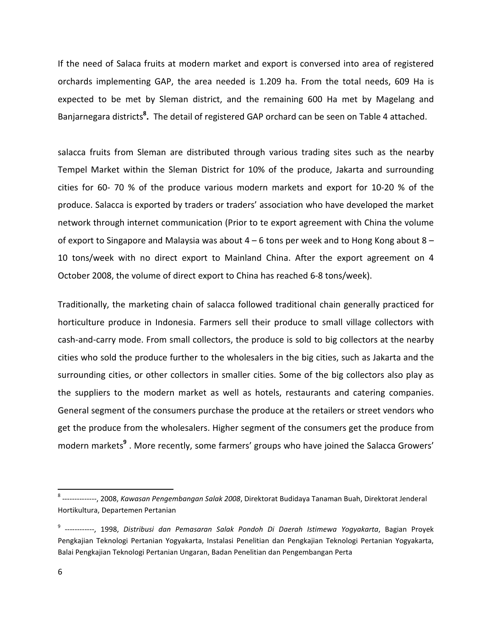If the need of Salaca fruits at modern market and export is conversed into area of registered orchards implementing GAP, the area needed is 1.209 ha. From the total needs, 609 Ha is expected to be met by Sleman district, and the remaining 600 Ha met by Magelang and Banjarnegara districts<sup>8</sup>. The detail of registered GAP orchard can be seen on Table 4 attached.

salacca fruits from Sleman are distributed through various trading sites such as the nearby Tempel Market within the Sleman District for 10% of the produce, Jakarta and surrounding cities for 60- 70 % of the produce various modern markets and export for 10-20 % of the produce. Salacca is exported by traders or traders' association who have developed the market network through internet communication (Prior to te export agreement with China the volume of export to Singapore and Malaysia was about 4 – 6 tons per week and to Hong Kong about 8 – 10 tons/week with no direct export to Mainland China. After the export agreement on 4 October 2008, the volume of direct export to China has reached 6-8 tons/week).

Traditionally, the marketing chain of salacca followed traditional chain generally practiced for horticulture produce in Indonesia. Farmers sell their produce to small village collectors with cash-and-carry mode. From small collectors, the produce is sold to big collectors at the nearby cities who sold the produce further to the wholesalers in the big cities, such as Jakarta and the surrounding cities, or other collectors in smaller cities. Some of the big collectors also play as the suppliers to the modern market as well as hotels, restaurants and catering companies. General segment of the consumers purchase the produce at the retailers or street vendors who get the produce from the wholesalers. Higher segment of the consumers get the produce from modern markets<sup>9</sup>. More recently, some farmers' groups who have joined the Salacca Growers'

-

<sup>&</sup>lt;sup>8</sup> --------------, 2008, *Kawasan Pengembangan Salak 2008*, Direktorat Budidaya Tanaman Buah, Direktorat Jenderal Hortikultura, Departemen Pertanian

<sup>&</sup>lt;sup>9</sup> ------------, 1998, Distribusi dan Pemasaran Salak Pondoh Di Daerah Istimewa Yogyakarta, Bagian Proyek Pengkajian Teknologi Pertanian Yogyakarta, Instalasi Penelitian dan Pengkajian Teknologi Pertanian Yogyakarta, Balai Pengkajian Teknologi Pertanian Ungaran, Badan Penelitian dan Pengembangan Perta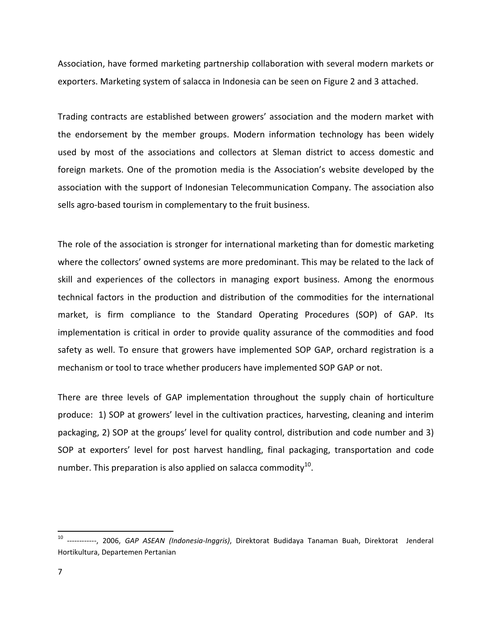Association, have formed marketing partnership collaboration with several modern markets or exporters. Marketing system of salacca in Indonesia can be seen on Figure 2 and 3 attached.

Trading contracts are established between growers' association and the modern market with the endorsement by the member groups. Modern information technology has been widely used by most of the associations and collectors at Sleman district to access domestic and foreign markets. One of the promotion media is the Association's website developed by the association with the support of Indonesian Telecommunication Company. The association also sells agro-based tourism in complementary to the fruit business.

The role of the association is stronger for international marketing than for domestic marketing where the collectors' owned systems are more predominant. This may be related to the lack of skill and experiences of the collectors in managing export business. Among the enormous technical factors in the production and distribution of the commodities for the international market, is firm compliance to the Standard Operating Procedures (SOP) of GAP. Its implementation is critical in order to provide quality assurance of the commodities and food safety as well. To ensure that growers have implemented SOP GAP, orchard registration is a mechanism or tool to trace whether producers have implemented SOP GAP or not.

There are three levels of GAP implementation throughout the supply chain of horticulture produce: 1) SOP at growers' level in the cultivation practices, harvesting, cleaning and interim packaging, 2) SOP at the groups' level for quality control, distribution and code number and 3) SOP at exporters' level for post harvest handling, final packaging, transportation and code number. This preparation is also applied on salacca commodity $^{10}$ .

<sup>&</sup>lt;sup>10</sup> ------------, 2006, GAP ASEAN (Indonesia-Inggris), Direktorat Budidaya Tanaman Buah, Direktorat Jenderal Hortikultura, Departemen Pertanian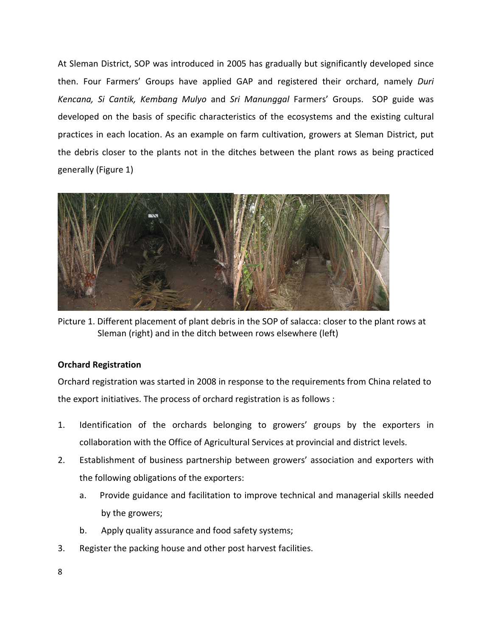At Sleman District, SOP was introduced in 2005 has gradually but significantly developed since then. Four Farmers' Groups have applied GAP and registered their orchard, namely Duri Kencana, Si Cantik, Kembang Mulyo and Sri Manunggal Farmers' Groups. SOP guide was developed on the basis of specific characteristics of the ecosystems and the existing cultural practices in each location. As an example on farm cultivation, growers at Sleman District, put the debris closer to the plants not in the ditches between the plant rows as being practiced generally (Figure 1)



Picture 1. Different placement of plant debris in the SOP of salacca: closer to the plant rows at Sleman (right) and in the ditch between rows elsewhere (left)

## Orchard Registration

Orchard registration was started in 2008 in response to the requirements from China related to the export initiatives. The process of orchard registration is as follows :

- 1. Identification of the orchards belonging to growers' groups by the exporters in collaboration with the Office of Agricultural Services at provincial and district levels.
- 2. Establishment of business partnership between growers' association and exporters with the following obligations of the exporters:
	- a. Provide guidance and facilitation to improve technical and managerial skills needed by the growers;
	- b. Apply quality assurance and food safety systems;
- 3. Register the packing house and other post harvest facilities.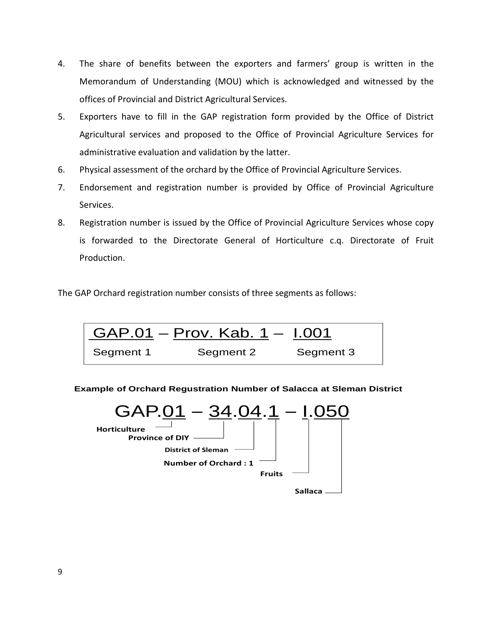- 4. The share of benefits between the exporters and farmers' group is written in the Memorandum of Understanding (MOU) which is acknowledged and witnessed by the offices of Provincial and District Agricultural Services.
- 5. Exporters have to fill in the GAP registration form provided by the Office of District Agricultural services and proposed to the Office of Provincial Agriculture Services for administrative evaluation and validation by the latter.
- 6. Physical assessment of the orchard by the Office of Provincial Agriculture Services.
- 7. Endorsement and registration number is provided by Office of Provincial Agriculture Services.
- 8. Registration number is issued by the Office of Provincial Agriculture Services whose copy is forwarded to the Directorate General of Horticulture c.q. Directorate of Fruit Production.

The GAP Orchard registration number consists of three segments as follows:



**Example of Orchard Regustration Number of Salacca at Sleman District**



9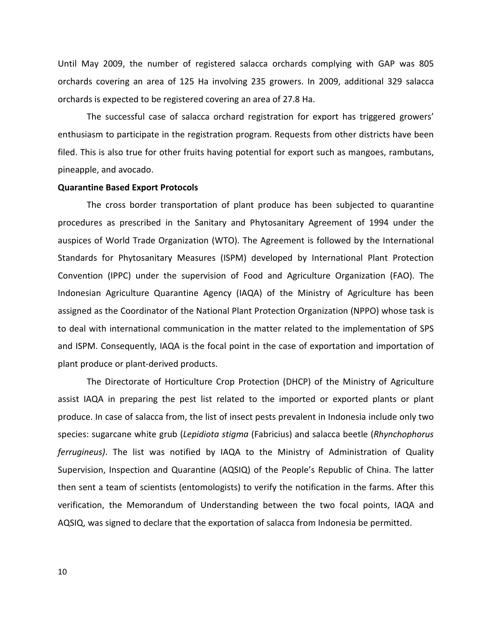Until May 2009, the number of registered salacca orchards complying with GAP was 805 orchards covering an area of 125 Ha involving 235 growers. In 2009, additional 329 salacca orchards is expected to be registered covering an area of 27.8 Ha.

 The successful case of salacca orchard registration for export has triggered growers' enthusiasm to participate in the registration program. Requests from other districts have been filed. This is also true for other fruits having potential for export such as mangoes, rambutans, pineapple, and avocado.

#### Quarantine Based Export Protocols

The cross border transportation of plant produce has been subjected to quarantine procedures as prescribed in the Sanitary and Phytosanitary Agreement of 1994 under the auspices of World Trade Organization (WTO). The Agreement is followed by the International Standards for Phytosanitary Measures (ISPM) developed by International Plant Protection Convention (IPPC) under the supervision of Food and Agriculture Organization (FAO). The Indonesian Agriculture Quarantine Agency (IAQA) of the Ministry of Agriculture has been assigned as the Coordinator of the National Plant Protection Organization (NPPO) whose task is to deal with international communication in the matter related to the implementation of SPS and ISPM. Consequently, IAQA is the focal point in the case of exportation and importation of plant produce or plant-derived products.

 The Directorate of Horticulture Crop Protection (DHCP) of the Ministry of Agriculture assist IAQA in preparing the pest list related to the imported or exported plants or plant produce. In case of salacca from, the list of insect pests prevalent in Indonesia include only two species: sugarcane white grub (Lepidiota stigma (Fabricius) and salacca beetle (Rhynchophorus ferrugineus). The list was notified by IAQA to the Ministry of Administration of Quality Supervision, Inspection and Quarantine (AQSIQ) of the People's Republic of China. The latter then sent a team of scientists (entomologists) to verify the notification in the farms. After this verification, the Memorandum of Understanding between the two focal points, IAQA and AQSIQ, was signed to declare that the exportation of salacca from Indonesia be permitted.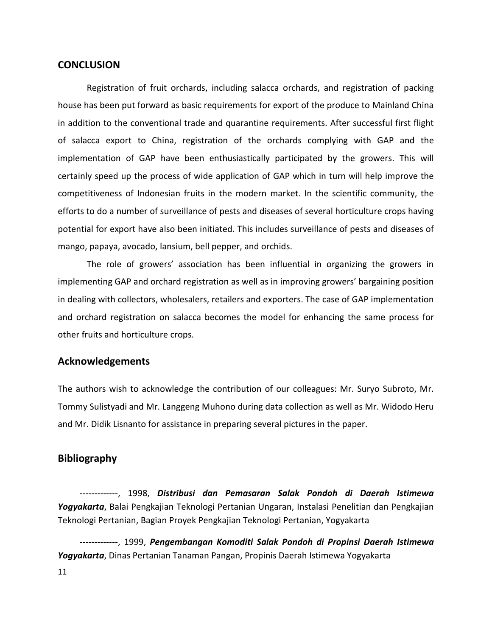#### **CONCLUSION**

Registration of fruit orchards, including salacca orchards, and registration of packing house has been put forward as basic requirements for export of the produce to Mainland China in addition to the conventional trade and quarantine requirements. After successful first flight of salacca export to China, registration of the orchards complying with GAP and the implementation of GAP have been enthusiastically participated by the growers. This will certainly speed up the process of wide application of GAP which in turn will help improve the competitiveness of Indonesian fruits in the modern market. In the scientific community, the efforts to do a number of surveillance of pests and diseases of several horticulture crops having potential for export have also been initiated. This includes surveillance of pests and diseases of mango, papaya, avocado, lansium, bell pepper, and orchids.

The role of growers' association has been influential in organizing the growers in implementing GAP and orchard registration as well as in improving growers' bargaining position in dealing with collectors, wholesalers, retailers and exporters. The case of GAP implementation and orchard registration on salacca becomes the model for enhancing the same process for other fruits and horticulture crops.

## Acknowledgements

The authors wish to acknowledge the contribution of our colleagues: Mr. Suryo Subroto, Mr. Tommy Sulistyadi and Mr. Langgeng Muhono during data collection as well as Mr. Widodo Heru and Mr. Didik Lisnanto for assistance in preparing several pictures in the paper.

## Bibliography

-------------, 1998, Distribusi dan Pemasaran Salak Pondoh di Daerah Istimewa Yogyakarta, Balai Pengkajian Teknologi Pertanian Ungaran, Instalasi Penelitian dan Pengkajian Teknologi Pertanian, Bagian Proyek Pengkajian Teknologi Pertanian, Yogyakarta

-------------, 1999, Pengembangan Komoditi Salak Pondoh di Propinsi Daerah Istimewa Yogyakarta, Dinas Pertanian Tanaman Pangan, Propinis Daerah Istimewa Yogyakarta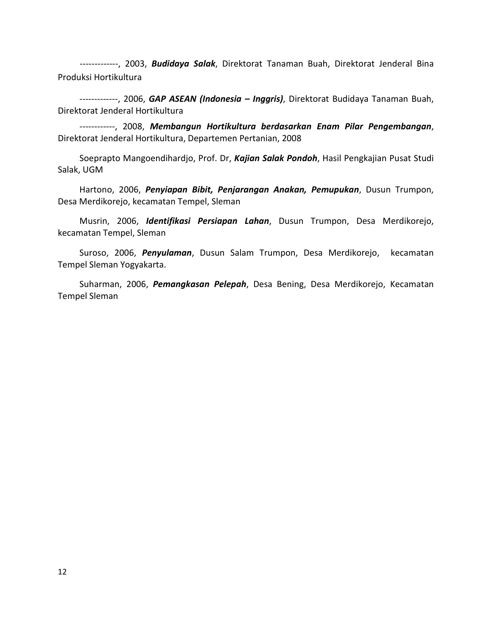------------, 2003, Budidaya Salak, Direktorat Tanaman Buah, Direktorat Jenderal Bina Produksi Hortikultura

------------, 2006, GAP ASEAN (Indonesia - Inggris), Direktorat Budidaya Tanaman Buah, Direktorat Jenderal Hortikultura

 ------------, 2008, Membangun Hortikultura berdasarkan Enam Pilar Pengembangan, Direktorat Jenderal Hortikultura, Departemen Pertanian, 2008

Soeprapto Mangoendihardjo, Prof. Dr, Kajian Salak Pondoh, Hasil Pengkajian Pusat Studi Salak, UGM

Hartono, 2006, Penyiapan Bibit, Penjarangan Anakan, Pemupukan, Dusun Trumpon, Desa Merdikorejo, kecamatan Tempel, Sleman

Musrin, 2006, Identifikasi Persiapan Lahan, Dusun Trumpon, Desa Merdikorejo, kecamatan Tempel, Sleman

Suroso, 2006, Penyulaman, Dusun Salam Trumpon, Desa Merdikorejo, kecamatan Tempel Sleman Yogyakarta.

Suharman, 2006, Pemangkasan Pelepah, Desa Bening, Desa Merdikorejo, Kecamatan Tempel Sleman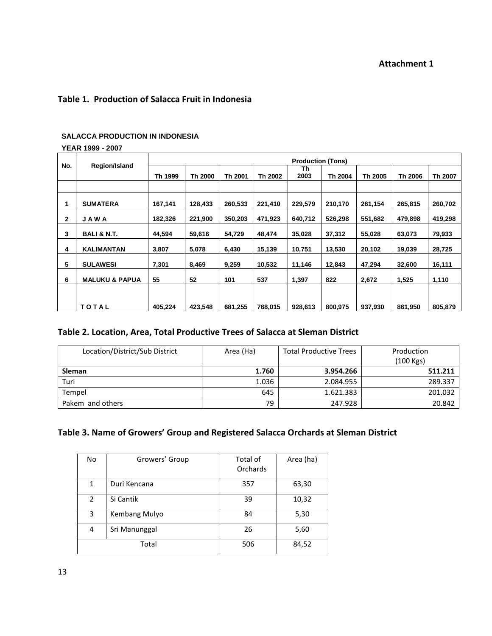#### Table 1. Production of Salacca Fruit in Indonesia

#### **SALACCA PRODUCTION IN INDONESIA**

# **YEAR 1999 - 2007**

|              |                           | <b>Production (Tons)</b> |         |         |         |            |         |         |         |         |
|--------------|---------------------------|--------------------------|---------|---------|---------|------------|---------|---------|---------|---------|
| No.          | Region/Island             | Th 1999                  | Th 2000 | Th 2001 | Th 2002 | Th<br>2003 | Th 2004 | Th 2005 | Th 2006 | Th 2007 |
|              |                           |                          |         |         |         |            |         |         |         |         |
|              | <b>SUMATERA</b>           | 167,141                  | 128,433 | 260.533 | 221,410 | 229,579    | 210,170 | 261.154 | 265,815 | 260,702 |
| $\mathbf{2}$ | <b>JAWA</b>               | 182,326                  | 221,900 | 350,203 | 471,923 | 640,712    | 526,298 | 551,682 | 479,898 | 419,298 |
| 3            | <b>BALI &amp; N.T.</b>    | 44.594                   | 59,616  | 54,729  | 48.474  | 35,028     | 37,312  | 55,028  | 63,073  | 79,933  |
| 4            | <b>KALIMANTAN</b>         | 3,807                    | 5,078   | 6,430   | 15,139  | 10,751     | 13,530  | 20,102  | 19,039  | 28,725  |
| 5            | <b>SULAWESI</b>           | 7,301                    | 8,469   | 9,259   | 10,532  | 11,146     | 12,843  | 47,294  | 32,600  | 16,111  |
| 6            | <b>MALUKU &amp; PAPUA</b> | 55                       | 52      | 101     | 537     | 1,397      | 822     | 2,672   | 1,525   | 1,110   |
|              |                           |                          |         |         |         |            |         |         |         |         |
|              | <b>TOTAL</b>              | 405.224                  | 423,548 | 681,255 | 768,015 | 928,613    | 800,975 | 937.930 | 861,950 | 805,879 |

#### Table 2. Location, Area, Total Productive Trees of Salacca at Sleman District

| Location/District/Sub District | Area (Ha) | <b>Total Productive Trees</b> | Production<br>$(100$ Kgs) |
|--------------------------------|-----------|-------------------------------|---------------------------|
| <b>Sleman</b>                  | 1.760     | 3.954.266                     | 511.211                   |
| Turi                           | 1.036     | 2.084.955                     | 289.337                   |
| Tempel                         | 645       | 1.621.383                     | 201.032                   |
| Pakem and others               | 79        | 247.928                       | 20.842                    |

## Table 3. Name of Growers' Group and Registered Salacca Orchards at Sleman District

| No | Growers' Group | Total of<br>Orchards | Area (ha) |
|----|----------------|----------------------|-----------|
| 1  | Duri Kencana   | 357                  | 63,30     |
| 2  | Si Cantik      | 39                   | 10,32     |
| 3  | Kembang Mulyo  | 84                   | 5,30      |
| 4  | Sri Manunggal  | 26                   | 5,60      |
|    | Total          | 506                  | 84,52     |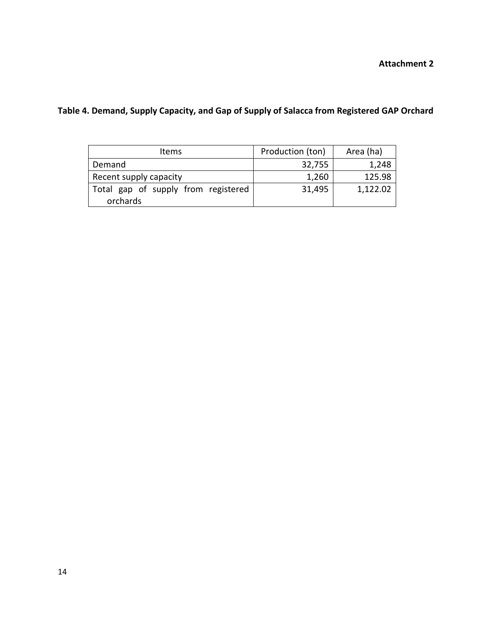Attachment 2

| <b>Items</b>                                    | Production (ton) | Area (ha) |
|-------------------------------------------------|------------------|-----------|
| Demand                                          | 32,755           | 1,248     |
| Recent supply capacity                          | 1,260            | 125.98    |
| Total gap of supply from registered<br>orchards | 31,495           | 1,122.02  |

# Table 4. Demand, Supply Capacity, and Gap of Supply of Salacca from Registered GAP Orchard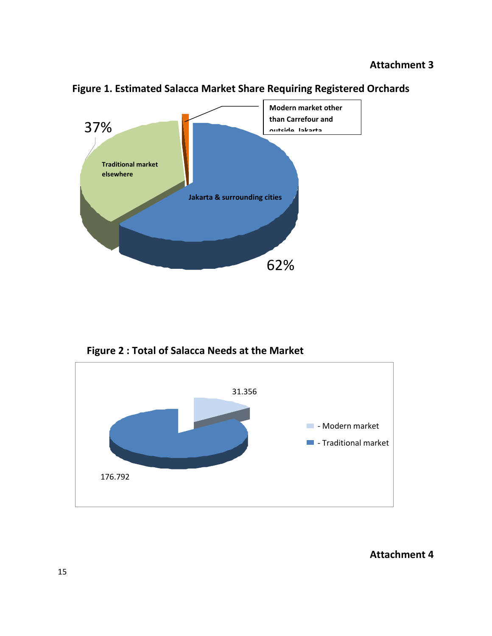

Figure 1. Estimated Salacca Market Share Requiring Registered Orchards

Figure 2 : Total of Salacca Needs at the Market



## Attachment 4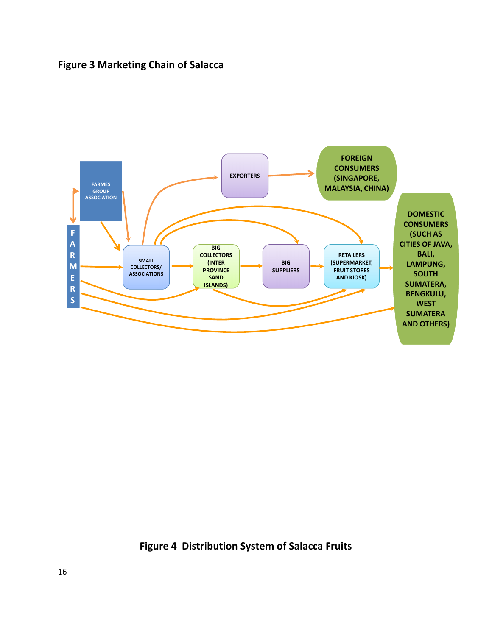# Figure 3 Marketing Chain of Salacca



Figure 4 Distribution System of Salacca Fruits